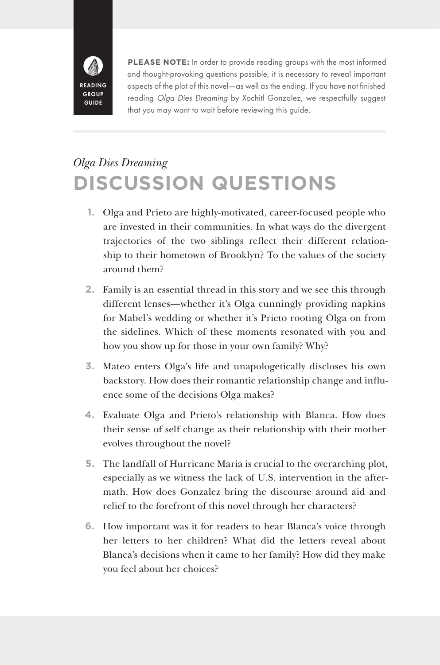

**PLEASE NOTE:** In order to provide reading groups with the most informed and thought-provoking questions possible, it is necessary to reveal important aspects of the plot of this novel—as well as the ending. If you have not finished reading *Olga Dies Dreaming* by Xochitl Gonzalez, we respectfully suggest that you may want to wait before reviewing this guide.

## *Olga Dies Dreaming* **DISCUSSION QUESTIONS**

- **1.** Olga and Prieto are highly-motivated, career-focused people who are invested in their communities. In what ways do the divergent trajectories of the two siblings reflect their different relationship to their hometown of Brooklyn? To the values of the society around them?
- **2.** Family is an essential thread in this story and we see this through different lenses—whether it's Olga cunningly providing napkins for Mabel's wedding or whether it's Prieto rooting Olga on from the sidelines. Which of these moments resonated with you and how you show up for those in your own family? Why?
- **3.** Mateo enters Olga's life and unapologetically discloses his own backstory. How does their romantic relationship change and influence some of the decisions Olga makes?
- **4.** Evaluate Olga and Prieto's relationship with Blanca. How does their sense of self change as their relationship with their mother evolves throughout the novel?
- **5.** The landfall of Hurricane Maria is crucial to the overarching plot, especially as we witness the lack of U.S. intervention in the aftermath. How does Gonzalez bring the discourse around aid and relief to the forefront of this novel through her characters?
- **6.** How important was it for readers to hear Blanca's voice through her letters to her children? What did the letters reveal about Blanca's decisions when it came to her family? How did they make you feel about her choices?